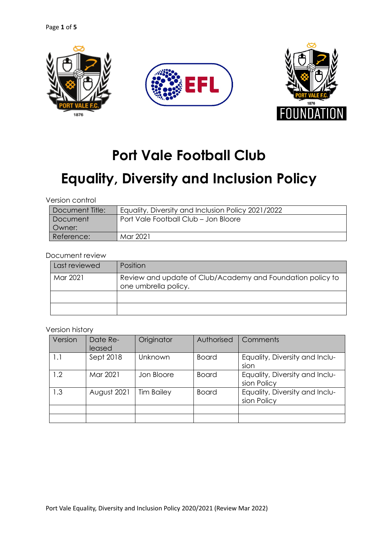

# **Port Vale Football Club**

# **Equality, Diversity and Inclusion Policy**

Version control

| Document Title: | Equality, Diversity and Inclusion Policy 2021/2022 |
|-----------------|----------------------------------------------------|
| <b>Document</b> | Port Vale Football Club - Jon Bloore               |
| Owner:          |                                                    |
| Reference:      | Mar 2021                                           |

Document review

| Last reviewed | <b>Position</b>                                                                    |
|---------------|------------------------------------------------------------------------------------|
| Mar 2021      | Review and update of Club/Academy and Foundation policy to<br>one umbrella policy. |
|               |                                                                                    |
|               |                                                                                    |

#### Version history

| Version | Date Re-<br>leased | Originator        | Authorised   | Comments                                      |
|---------|--------------------|-------------------|--------------|-----------------------------------------------|
| 1.1     | Sept 2018          | Unknown           | <b>Board</b> | Equality, Diversity and Inclu-<br>sion        |
| 1.2     | Mar 2021           | Jon Bloore        | <b>Board</b> | Equality, Diversity and Inclu-<br>sion Policy |
| 1.3     | August 2021        | <b>Tim Bailey</b> | <b>Board</b> | Equality, Diversity and Inclu-<br>sion Policy |
|         |                    |                   |              |                                               |
|         |                    |                   |              |                                               |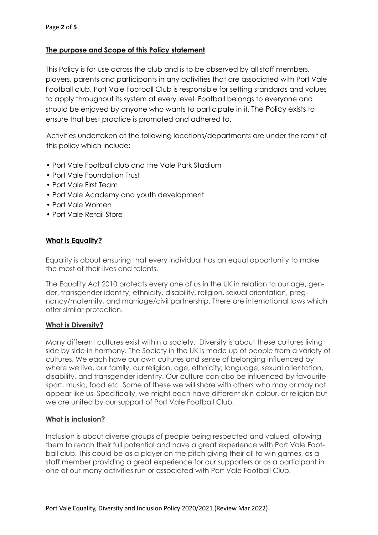# **The purpose and Scope of this Policy statement**

This Policy is for use across the club and is to be observed by all staff members, players, parents and participants in any activities that are associated with Port Vale Football club. Port Vale Football Club is responsible for setting standards and values to apply throughout its system at every level. Football belongs to everyone and should be enjoyed by anyone who wants to participate in it. The Policy exists to ensure that best practice is promoted and adhered to.

Activities undertaken at the following locations/departments are under the remit of this policy which include:

- Port Vale Football club and the Vale Park Stadium
- Port Vale Foundation Trust
- Port Vale First Team
- Port Vale Academy and youth development
- Port Vale Women
- Port Vale Retail Store

# **What is Equality?**

Equality is about ensuring that every individual has an equal opportunity to make the most of their lives and talents.

The Equality Act 2010 protects every one of us in the UK in relation to our age, gender, transgender identity, ethnicity, disability, religion, sexual orientation, pregnancy/maternity, and marriage/civil partnership. There are international laws which offer similar protection.

# **What is Diversity?**

Many different cultures exist within a society. Diversity is about these cultures living side by side in harmony. The Society in the UK is made up of people from a variety of cultures. We each have our own cultures and sense of belonging influenced by where we live, our family, our religion, age, ethnicity, language, sexual orientation, disability, and transgender identity. Our culture can also be influenced by favourite sport, music, food etc. Some of these we will share with others who may or may not appear like us. Specifically, we might each have different skin colour, or religion but we are united by our support of Port Vale Football Club.

# **What is inclusion?**

Inclusion is about diverse groups of people being respected and valued, allowing them to reach their full potential and have a great experience with Port Vale Football club. This could be as a player on the pitch giving their all to win games, as a staff member providing a great experience for our supporters or as a participant in one of our many activities run or associated with Port Vale Football Club.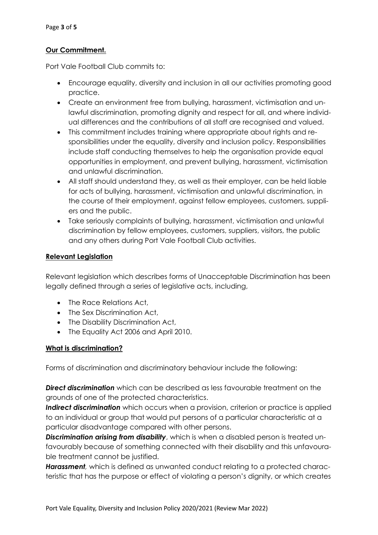# **Our Commitment.**

Port Vale Football Club commits to:

- Encourage equality, diversity and inclusion in all our activities promoting good practice.
- Create an environment free from bullying, harassment, victimisation and unlawful discrimination, promoting dignity and respect for all, and where individual differences and the contributions of all staff are recognised and valued.
- This commitment includes training where appropriate about rights and responsibilities under the equality, diversity and inclusion policy. Responsibilities include staff conducting themselves to help the organisation provide equal opportunities in employment, and prevent bullying, harassment, victimisation and unlawful discrimination.
- All staff should understand they, as well as their employer, can be held liable for acts of bullying, harassment, victimisation and unlawful discrimination, in the course of their employment, against fellow employees, customers, suppliers and the public.
- Take seriously complaints of bullying, harassment, victimisation and unlawful discrimination by fellow employees, customers, suppliers, visitors, the public and any others during Port Vale Football Club activities.

# **Relevant Legislation**

Relevant legislation which describes forms of Unacceptable Discrimination has been legally defined through a series of legislative acts, including,

- The Race Relations Act,
- The Sex Discrimination Act,
- The Disability Discrimination Act,
- The Equality Act 2006 and April 2010.

# **What is discrimination?**

Forms of discrimination and discriminatory behaviour include the following:

*Direct discrimination* which can be described as less favourable treatment on the grounds of one of the protected characteristics.

*Indirect discrimination* which occurs when a provision, criterion or practice is applied to an individual or group that would put persons of a particular characteristic at a particular disadvantage compared with other persons.

*Discrimination arising from disability*, which is when a disabled person is treated unfavourably because of something connected with their disability and this unfavourable treatment cannot be justified.

*Harassment,* which is defined as unwanted conduct relating to a protected characteristic that has the purpose or effect of violating a person's dignity, or which creates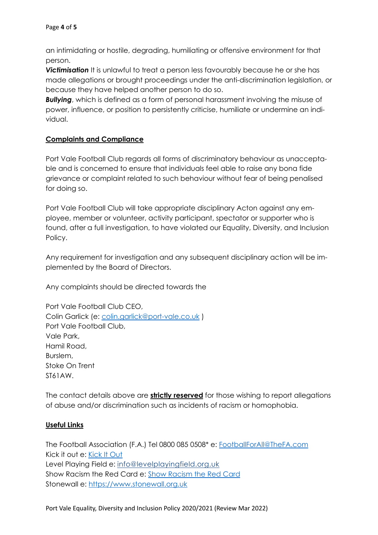an intimidating or hostile, degrading, humiliating or offensive environment for that person.

**Victimisation** It is unlawful to treat a person less favourably because he or she has made allegations or brought proceedings under the anti-discrimination legislation, or because they have helped another person to do so.

*Bullying*, which is defined as a form of personal harassment involving the misuse of power, influence, or position to persistently criticise, humiliate or undermine an individual.

# **Complaints and Compliance**

Port Vale Football Club regards all forms of discriminatory behaviour as unacceptable and is concerned to ensure that individuals feel able to raise any bona fide grievance or complaint related to such behaviour without fear of being penalised for doing so.

Port Vale Football Club will take appropriate disciplinary Acton against any employee, member or volunteer, activity participant, spectator or supporter who is found, after a full investigation, to have violated our Equality, Diversity, and Inclusion Policy.

Any requirement for investigation and any subsequent disciplinary action will be implemented by the Board of Directors.

Any complaints should be directed towards the

Port Vale Football Club CEO, Colin Garlick (e: colin.garlick@port-vale.co.uk ) Port Vale Football Club, Vale Park, Hamil Road, Burslem, Stoke On Trent ST61AW.

The contact details above are **strictly reserved** for those wishing to report allegations of abuse and/or discrimination such as incidents of racism or homophobia.

# **Useful Links**

The Football Association (F.A.) Tel 0800 085 0508\* e: FootballForAll@TheFA.com Kick it out e: Kick It Out Level Playing Field e: info@levelplayingfield.org.uk Show Racism the Red Card e: Show Racism the Red Card Stonewall e: https://www.stonewall.org.uk

Port Vale Equality, Diversity and Inclusion Policy 2020/2021 (Review Mar 2022)